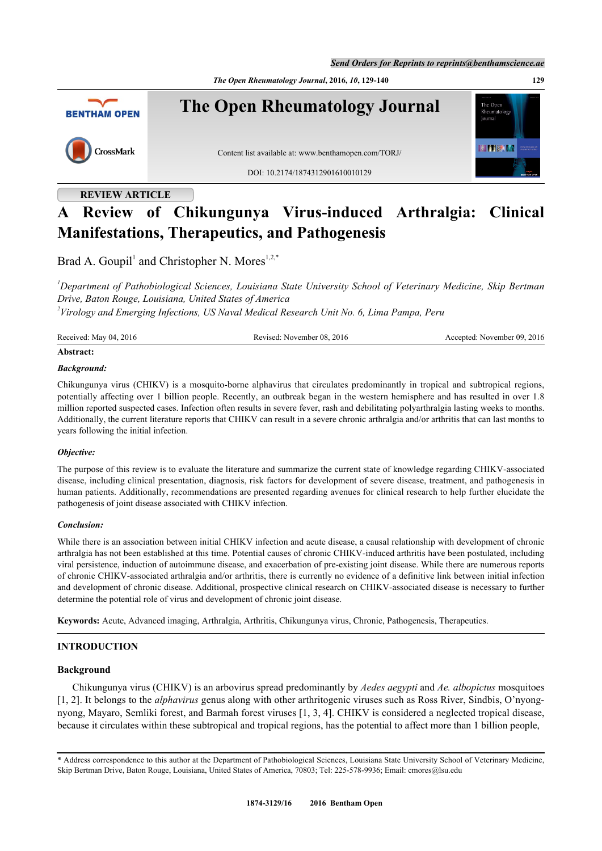*Send Orders for Reprints to reprints@benthamscience.ae*

*The Open Rheumatology Journal***, 2016,** *10***, 129-140 129**



# **REVIEW ARTICLE**

# **A Review of Chikungunya Virus-induced Arthralgia: Clinical Manifestations, Therapeutics, and Pathogenesis**

Brad A. Goupil<sup>[1](#page-0-0)</sup> and Christopher N. Mores<sup>[1,](#page-0-0)[2,](#page-0-1)[\\*](#page--1-0)</sup>

<span id="page-0-0"></span>*<sup>1</sup>Department of Pathobiological Sciences, Louisiana State University School of Veterinary Medicine, Skip Bertman Drive, Baton Rouge, Louisiana, United States of America*

<span id="page-0-1"></span>*2 Virology and Emerging Infections, US Naval Medical Research Unit No. 6, Lima Pampa, Peru*

| Received: May 04, 2016 | Revised: November 08, 2016 | Accepted: November 09, 2016 |
|------------------------|----------------------------|-----------------------------|
|                        |                            |                             |

### **Abstract:**

# *Background:*

Chikungunya virus (CHIKV) is a mosquito-borne alphavirus that circulates predominantly in tropical and subtropical regions, potentially affecting over 1 billion people. Recently, an outbreak began in the western hemisphere and has resulted in over 1.8 million reported suspected cases. Infection often results in severe fever, rash and debilitating polyarthralgia lasting weeks to months. Additionally, the current literature reports that CHIKV can result in a severe chronic arthralgia and/or arthritis that can last months to years following the initial infection.

### *Objective:*

The purpose of this review is to evaluate the literature and summarize the current state of knowledge regarding CHIKV-associated disease, including clinical presentation, diagnosis, risk factors for development of severe disease, treatment, and pathogenesis in human patients. Additionally, recommendations are presented regarding avenues for clinical research to help further elucidate the pathogenesis of joint disease associated with CHIKV infection.

### *Conclusion:*

While there is an association between initial CHIKV infection and acute disease, a causal relationship with development of chronic arthralgia has not been established at this time. Potential causes of chronic CHIKV-induced arthritis have been postulated, including viral persistence, induction of autoimmune disease, and exacerbation of pre-existing joint disease. While there are numerous reports of chronic CHIKV-associated arthralgia and/or arthritis, there is currently no evidence of a definitive link between initial infection and development of chronic disease. Additional, prospective clinical research on CHIKV-associated disease is necessary to further determine the potential role of virus and development of chronic joint disease.

**Keywords:** Acute, Advanced imaging, Arthralgia, Arthritis, Chikungunya virus, Chronic, Pathogenesis, Therapeutics.

# **INTRODUCTION**

# **Background**

Chikungunya virus (CHIKV) is an arbovirus spread predominantly by *Aedes aegypti* and *Ae. albopictus* mosquitoes [\[1](#page-7-0), [2](#page-7-1)]. It belongs to the *alphavirus* genus along with other arthritogenic viruses such as Ross River, Sindbis, O'nyongnyong, Mayaro, Semliki forest, and Barmah forest viruses [\[1](#page-7-0), [3,](#page-7-2) [4\]](#page-8-0). CHIKV is considered a neglected tropical disease, because it circulates within these subtropical and tropical regions, has the potential to affect more than 1 billion people,

<sup>\*</sup> Address correspondence to this author at the Department of Pathobiological Sciences, Louisiana State University School of Veterinary Medicine, Skip Bertman Drive, Baton Rouge, Louisiana, United States of America, 70803; Tel: 225-578-9936; Email: [cmores@lsu.edu](mailto:cmores@lsu.edu)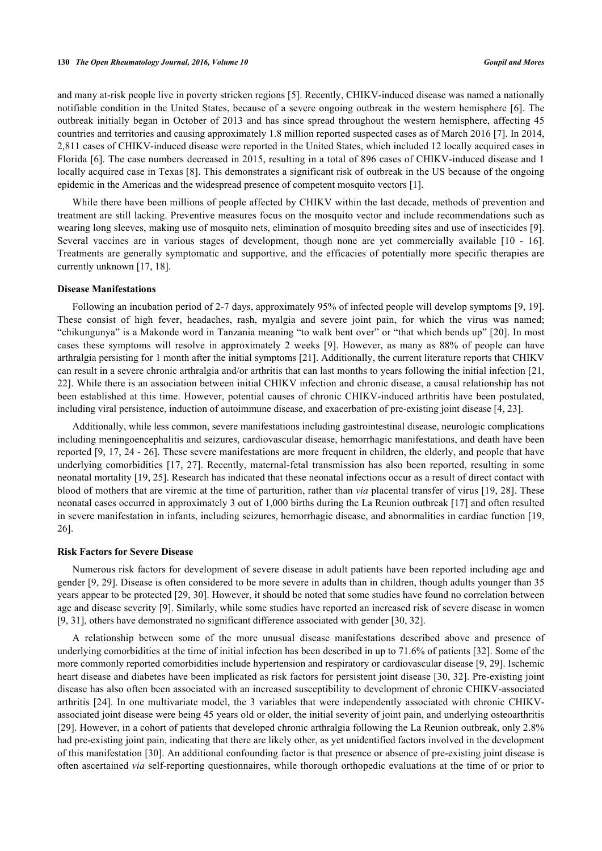and many at-risk people live in poverty stricken regions [[5](#page-8-1)]. Recently, CHIKV-induced disease was named a nationally notifiable condition in the United States, because of a severe ongoing outbreak in the western hemisphere [\[6](#page-8-2)]. The outbreak initially began in October of 2013 and has since spread throughout the western hemisphere, affecting 45 countries and territories and causing approximately 1.8 million reported suspected cases as of March 2016 [[7\]](#page-8-3). In 2014, 2,811 cases of CHIKV-induced disease were reported in the United States, which included 12 locally acquired cases in Florida [[6\]](#page-8-2). The case numbers decreased in 2015, resulting in a total of 896 cases of CHIKV-induced disease and 1 locally acquired case in Texas [[8\]](#page-8-4). This demonstrates a significant risk of outbreak in the US because of the ongoing epidemic in the Americas and the widespread presence of competent mosquito vectors [\[1](#page-7-0)].

While there have been millions of people affected by CHIKV within the last decade, methods of prevention and treatment are still lacking. Preventive measures focus on the mosquito vector and include recommendations such as wearing long sleeves, making use of mosquito nets, elimination of mosquito breeding sites and use of insecticides [[9\]](#page-8-5). Several vaccines are in various stages of development, though none are yet commercially available [\[10](#page-8-6) - [16\]](#page-8-7). Treatments are generally symptomatic and supportive, and the efficacies of potentially more specific therapies are currently unknown [\[17](#page-8-8), [18](#page-8-9)].

#### **Disease Manifestations**

Following an incubation period of 2-7 days, approximately 95% of infected people will develop symptoms [\[9](#page-8-5), [19\]](#page-8-10). These consist of high fever, headaches, rash, myalgia and severe joint pain, for which the virus was named; "chikungunya" is a Makonde word in Tanzania meaning "to walk bent over" or "that which bends up" [[20](#page-8-11)]. In most cases these symptoms will resolve in approximately 2 weeks[[9](#page-8-5)]. However, as many as 88% of people can have arthralgia persisting for 1 month after the initial symptoms [\[21](#page-8-12)]. Additionally, the current literature reports that CHIKV can result in a severe chronic arthralgia and/or arthritis that can last months to years following the initial infection [[21](#page-8-12), [22\]](#page-8-13). While there is an association between initial CHIKV infection and chronic disease, a causal relationship has not been established at this time. However, potential causes of chronic CHIKV-induced arthritis have been postulated, including viral persistence, induction of autoimmune disease, and exacerbation of pre-existing joint disease [[4,](#page-8-0) [23\]](#page-8-14).

Additionally, while less common, severe manifestations including gastrointestinal disease, neurologic complications including meningoencephalitis and seizures, cardiovascular disease, hemorrhagic manifestations, and death have been reported [[9](#page-8-5), [17,](#page-8-8) [24](#page-8-15) - [26](#page-8-16)]. These severe manifestations are more frequent in children, the elderly, and people that have underlying comorbidities [\[17,](#page-8-8) [27](#page-9-0)]. Recently, maternal-fetal transmission has also been reported, resulting in some neonatal mortality [\[19](#page-8-10), [25](#page-8-17)]. Research has indicated that these neonatal infections occur as a result of direct contact with blood of mothers that are viremic at the time of parturition, rather than *via* placental transfer of virus [[19,](#page-8-10) [28](#page-9-1)]. These neonatal cases occurred in approximately 3 out of 1,000 births during the La Reunion outbreak [[17\]](#page-8-8) and often resulted in severe manifestation in infants, including seizures, hemorrhagic disease, and abnormalities in cardiac function [[19](#page-8-10), [26\]](#page-8-16).

#### **Risk Factors for Severe Disease**

Numerous risk factors for development of severe disease in adult patients have been reported including age and gender [\[9](#page-8-5), [29\]](#page-9-2). Disease is often considered to be more severe in adults than in children, though adults younger than 35 years appear to be protected [[29,](#page-9-2) [30](#page-9-3)]. However, it should be noted that some studies have found no correlation between age and disease severity [[9\]](#page-8-5). Similarly, while some studies have reported an increased risk of severe disease in women [\[9](#page-8-5), [31](#page-9-4)], others have demonstrated no significant difference associated with gender [\[30](#page-9-3), [32](#page-9-5)].

A relationship between some of the more unusual disease manifestations described above and presence of underlying comorbidities at the time of initial infection has been described in up to 71.6% of patients [\[32](#page-9-5)]. Some of the more commonly reported comorbidities include hypertension and respiratory or cardiovascular disease [\[9](#page-8-5), [29](#page-9-2)]. Ischemic heart disease and diabetes have been implicated as risk factors for persistent joint disease [[30,](#page-9-3) [32](#page-9-5)]. Pre-existing joint disease has also often been associated with an increased susceptibility to development of chronic CHIKV-associated arthritis [[24](#page-8-15)]. In one multivariate model, the 3 variables that were independently associated with chronic CHIKVassociated joint disease were being 45 years old or older, the initial severity of joint pain, and underlying osteoarthritis [\[29](#page-9-2)]. However, in a cohort of patients that developed chronic arthralgia following the La Reunion outbreak, only 2.8% had pre-existing joint pain, indicating that there are likely other, as yet unidentified factors involved in the development of this manifestation [[30\]](#page-9-3). An additional confounding factor is that presence or absence of pre-existing joint disease is often ascertained *via* self-reporting questionnaires, while thorough orthopedic evaluations at the time of or prior to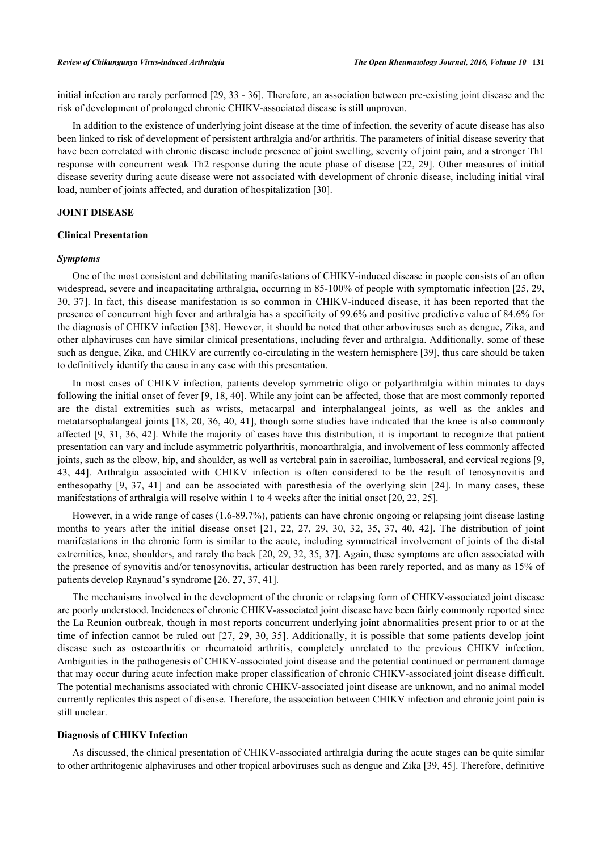initial infection are rarely performed [[29](#page-9-2), [33](#page-9-6) - [36](#page-9-7)]. Therefore, an association between pre-existing joint disease and the risk of development of prolonged chronic CHIKV-associated disease is still unproven.

In addition to the existence of underlying joint disease at the time of infection, the severity of acute disease has also been linked to risk of development of persistent arthralgia and/or arthritis. The parameters of initial disease severity that have been correlated with chronic disease include presence of joint swelling, severity of joint pain, and a stronger Th1 response with concurrent weak Th2 response during the acute phase of disease [[22,](#page-8-13) [29](#page-9-2)]. Other measures of initial disease severity during acute disease were not associated with development of chronic disease, including initial viral load, number of joints affected, and duration of hospitalization [\[30](#page-9-3)].

# **JOINT DISEASE**

### **Clinical Presentation**

#### *Symptoms*

One of the most consistent and debilitating manifestations of CHIKV-induced disease in people consists of an often widespread, severe and incapacitating arthralgia, occurring in 85-100% of people with symptomatic infection [\[25,](#page-8-17) [29](#page-9-2), [30,](#page-9-3) [37](#page-9-8)]. In fact, this disease manifestation is so common in CHIKV-induced disease, it has been reported that the presence of concurrent high fever and arthralgia has a specificity of 99.6% and positive predictive value of 84.6% for the diagnosis of CHIKV infection [\[38](#page-9-9)]. However, it should be noted that other arboviruses such as dengue, Zika, and other alphaviruses can have similar clinical presentations, including fever and arthralgia. Additionally, some of these such as dengue, Zika, and CHIKV are currently co-circulating in the western hemisphere [\[39](#page-9-10)], thus care should be taken to definitively identify the cause in any case with this presentation.

In most cases of CHIKV infection, patients develop symmetric oligo or polyarthralgia within minutes to days following the initial onset of fever [\[9](#page-8-5), [18,](#page-8-9) [40](#page-9-11)]. While any joint can be affected, those that are most commonly reported are the distal extremities such as wrists, metacarpal and interphalangeal joints, as well as the ankles and metatarsophalangeal joints [[18,](#page-8-9) [20,](#page-8-11) [36,](#page-9-7) [40,](#page-9-11) [41\]](#page-9-12), though some studies have indicated that the knee is also commonly affected [[9,](#page-8-5) [31,](#page-9-4) [36](#page-9-7), [42\]](#page-9-13). While the majority of cases have this distribution, it is important to recognize that patient presentation can vary and include asymmetric polyarthritis, monoarthralgia, and involvement of less commonly affected joints, such as the elbow, hip, and shoulder, as well as vertebral pain in sacroiliac, lumbosacral, and cervical regions [[9](#page-8-5), [43,](#page-9-14) [44\]](#page-9-15). Arthralgia associated with CHIKV infection is often considered to be the result of tenosynovitis and enthesopathy [\[9](#page-8-5), [37](#page-9-8), [41\]](#page-9-12) and can be associated with paresthesia of the overlying skin[[24](#page-8-15)]. In many cases, these manifestations of arthralgia will resolve within 1 to 4 weeks after the initial onset [[20,](#page-8-11) [22,](#page-8-13) [25\]](#page-8-17).

However, in a wide range of cases (1.6-89.7%), patients can have chronic ongoing or relapsing joint disease lasting months to years after the initial disease onset[[21,](#page-8-12) [22](#page-8-13), [27](#page-9-0), [29](#page-9-2), [30](#page-9-3), [32](#page-9-5), [35,](#page-9-16) [37,](#page-9-8) [40,](#page-9-11) [42\]](#page-9-13). The distribution of joint manifestations in the chronic form is similar to the acute, including symmetrical involvement of joints of the distal extremities, knee, shoulders, and rarely the back [[20,](#page-8-11) [29](#page-9-2), [32](#page-9-5), [35,](#page-9-16) [37](#page-9-8)]. Again, these symptoms are often associated with the presence of synovitis and/or tenosynovitis, articular destruction has been rarely reported, and as many as 15% of patients develop Raynaud's syndrome [\[26](#page-8-16), [27](#page-9-0), [37](#page-9-8), [41](#page-9-12)].

The mechanisms involved in the development of the chronic or relapsing form of CHIKV-associated joint disease are poorly understood. Incidences of chronic CHIKV-associated joint disease have been fairly commonly reported since the La Reunion outbreak, though in most reports concurrent underlying joint abnormalities present prior to or at the time of infection cannot be ruled out [[27,](#page-9-0) [29](#page-9-2), [30,](#page-9-3) [35](#page-9-16)]. Additionally, it is possible that some patients develop joint disease such as osteoarthritis or rheumatoid arthritis, completely unrelated to the previous CHIKV infection. Ambiguities in the pathogenesis of CHIKV-associated joint disease and the potential continued or permanent damage that may occur during acute infection make proper classification of chronic CHIKV-associated joint disease difficult. The potential mechanisms associated with chronic CHIKV-associated joint disease are unknown, and no animal model currently replicates this aspect of disease. Therefore, the association between CHIKV infection and chronic joint pain is still unclear.

#### **Diagnosis of CHIKV Infection**

As discussed, the clinical presentation of CHIKV-associated arthralgia during the acute stages can be quite similar to other arthritogenic alphaviruses and other tropical arboviruses such as dengue and Zika [\[39](#page-9-10), [45](#page-9-17)]. Therefore, definitive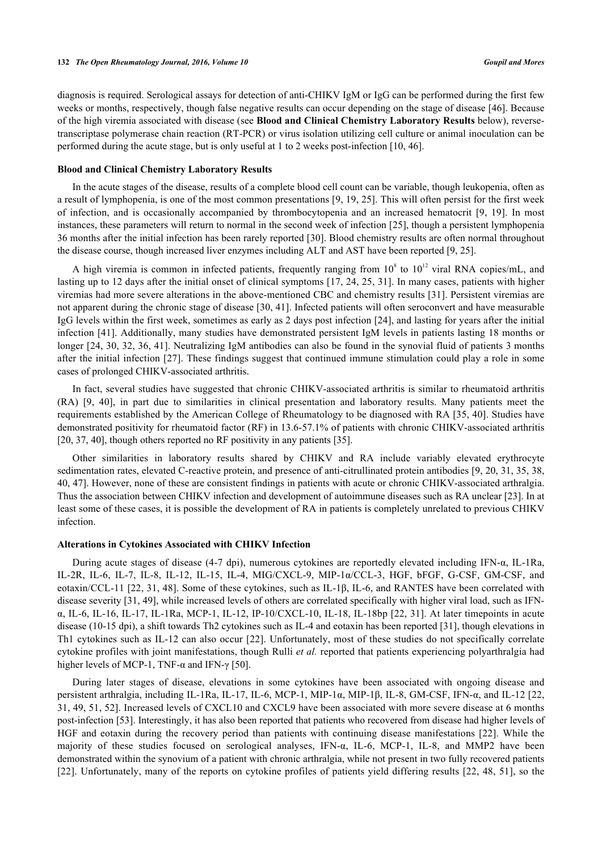diagnosis is required. Serological assays for detection of anti-CHIKV IgM or IgG can be performed during the first few weeks or months, respectively, though false negative results can occur depending on the stage of disease [\[46](#page-9-18)]. Because of the high viremia associated with disease (see **Blood and Clinical Chemistry Laboratory Results** below), reversetranscriptase polymerase chain reaction (RT-PCR) or virus isolation utilizing cell culture or animal inoculation can be performed during the acute stage, but is only useful at 1 to 2 weeks post-infection [[10,](#page-8-6) [46\]](#page-9-18).

#### **Blood and Clinical Chemistry Laboratory Results**

In the acute stages of the disease, results of a complete blood cell count can be variable, though leukopenia, often as a result of lymphopenia, is one of the most common presentations [[9,](#page-8-5) [19](#page-8-10), [25\]](#page-8-17). This will often persist for the first week of infection, and is occasionally accompanied by thrombocytopenia and an increased hematocrit [\[9](#page-8-5), [19](#page-8-10)]. In most instances, these parameters will return to normal in the second week of infection [\[25](#page-8-17)], though a persistent lymphopenia 36 months after the initial infection has been rarely reported [[30](#page-9-3)]. Blood chemistry results are often normal throughout the disease course, though increased liver enzymes including ALT and AST have been reported [\[9](#page-8-5), [25](#page-8-17)].

A high viremia is common in infected patients, frequently ranging from  $10^8$  to  $10^{12}$  viral RNA copies/mL, and lasting up to 12 days after the initial onset of clinical symptoms [[17,](#page-8-8) [24,](#page-8-15) [25](#page-8-17), [31\]](#page-9-4). In many cases, patients with higher viremias had more severe alterations in the above-mentioned CBC and chemistry results [[31\]](#page-9-4). Persistent viremias are not apparent during the chronic stage of disease [\[30](#page-9-3), [41\]](#page-9-12). Infected patients will often seroconvert and have measurable IgG levels within the first week, sometimes as early as 2 days post infection [[24\]](#page-8-15), and lasting for years after the initial infection [[41](#page-9-12)]. Additionally, many studies have demonstrated persistent IgM levels in patients lasting 18 months or longer [\[24](#page-8-15), [30](#page-9-3), [32](#page-9-5), [36,](#page-9-7) [41\]](#page-9-12). Neutralizing IgM antibodies can also be found in the synovial fluid of patients 3 months after the initial infection [\[27](#page-9-0)]. These findings suggest that continued immune stimulation could play a role in some cases of prolonged CHIKV-associated arthritis.

In fact, several studies have suggested that chronic CHIKV-associated arthritis is similar to rheumatoid arthritis (RA)[[9,](#page-8-5) [40](#page-9-11)], in part due to similarities in clinical presentation and laboratory results. Many patients meet the requirements established by the American College of Rheumatology to be diagnosed with RA [[35,](#page-9-16) [40](#page-9-11)]. Studies have demonstrated positivity for rheumatoid factor (RF) in 13.6-57.1% of patients with chronic CHIKV-associated arthritis [\[20](#page-8-11), [37](#page-9-8), [40](#page-9-11)], though others reported no RF positivity in any patients [\[35](#page-9-16)].

Other similarities in laboratory results shared by CHIKV and RA include variably elevated erythrocyte sedimentation rates, elevated C-reactive protein, and presence of anti-citrullinated protein antibodies [[9,](#page-8-5) [20](#page-8-11), [31,](#page-9-4) [35,](#page-9-16) [38](#page-9-9), [40,](#page-9-11) [47](#page-10-0)]. However, none of these are consistent findings in patients with acute or chronic CHIKV-associated arthralgia. Thus the association between CHIKV infection and development of autoimmune diseases such as RA unclear [\[23](#page-8-14)]. In at least some of these cases, it is possible the development of RA in patients is completely unrelated to previous CHIKV infection.

#### **Alterations in Cytokines Associated with CHIKV Infection**

During acute stages of disease (4-7 dpi), numerous cytokines are reportedly elevated including IFN-α, IL-1Ra, IL-2R, IL-6, IL-7, IL-8, IL-12, IL-15, IL-4, MIG/CXCL-9, MIP-1α/CCL-3, HGF, bFGF, G-CSF, GM-CSF, and eotaxin/CCL-11 [\[22,](#page-8-13) [31](#page-9-4), [48](#page-10-1)]. Some of these cytokines, such as IL-1β, IL-6, and RANTES have been correlated with disease severity [[31,](#page-9-4) [49](#page-10-2)], while increased levels of others are correlated specifically with higher viral load, such as IFNα, IL-6, IL-16, IL-17, IL-1Ra, MCP-1, IL-12, IP-10/CXCL-10, IL-18, IL-18bp [[22](#page-8-13), [31](#page-9-4)]. At later timepoints in acute disease (10-15 dpi), a shift towards Th2 cytokines such as IL-4 and eotaxin has been reported [[31\]](#page-9-4), though elevations in Th1 cytokines such as IL-12 can also occur [\[22](#page-8-13)]. Unfortunately, most of these studies do not specifically correlate cytokine profiles with joint manifestations, though Rulli *et al.* reported that patients experiencing polyarthralgia had higher levels of MCP-1, TNF- $\alpha$  and IFN- $\gamma$  [\[50](#page-10-3)].

During later stages of disease, elevations in some cytokines have been associated with ongoing disease and persistent arthralgia, including IL-1Ra, IL-17, IL-6, MCP-1, MIP-1α, MIP-1β, IL-8, GM-CSF, IFN-α, and IL-12 [[22](#page-8-13), [31,](#page-9-4) [49,](#page-10-2) [51](#page-10-4), [52\]](#page-10-5). Increased levels of CXCL10 and CXCL9 have been associated with more severe disease at 6 months post-infection [\[53](#page-10-6)]. Interestingly, it has also been reported that patients who recovered from disease had higher levels of HGF and eotaxin during the recovery period than patients with continuing disease manifestations [\[22](#page-8-13)]. While the majority of these studies focused on serological analyses, IFN-α, IL-6, MCP-1, IL-8, and MMP2 have been demonstrated within the synovium of a patient with chronic arthralgia, while not present in two fully recovered patients [\[22](#page-8-13)]. Unfortunately, many of the reports on cytokine profiles of patients yield differing results [\[22](#page-8-13), [48,](#page-10-1) [51](#page-10-4)], so the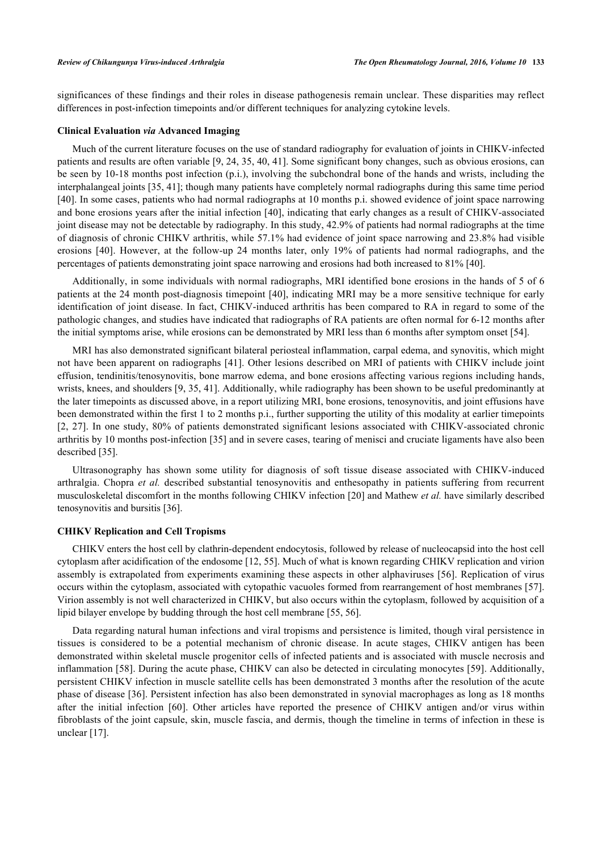significances of these findings and their roles in disease pathogenesis remain unclear. These disparities may reflect differences in post-infection timepoints and/or different techniques for analyzing cytokine levels.

#### **Clinical Evaluation** *via* **Advanced Imaging**

Much of the current literature focuses on the use of standard radiography for evaluation of joints in CHIKV-infected patients and results are often variable [[9,](#page-8-5) [24,](#page-8-15) [35](#page-9-16), [40](#page-9-11), [41\]](#page-9-12). Some significant bony changes, such as obvious erosions, can be seen by 10-18 months post infection (p.i.), involving the subchondral bone of the hands and wrists, including the interphalangeal joints [[35,](#page-9-16) [41\]](#page-9-12); though many patients have completely normal radiographs during this same time period [\[40](#page-9-11)]. In some cases, patients who had normal radiographs at 10 months p.i. showed evidence of joint space narrowing and bone erosions years after the initial infection [[40](#page-9-11)], indicating that early changes as a result of CHIKV-associated joint disease may not be detectable by radiography. In this study, 42.9% of patients had normal radiographs at the time of diagnosis of chronic CHIKV arthritis, while 57.1% had evidence of joint space narrowing and 23.8% had visible erosions [\[40](#page-9-11)]. However, at the follow-up 24 months later, only 19% of patients had normal radiographs, and the percentages of patients demonstrating joint space narrowing and erosions had both increased to 81% [\[40](#page-9-11)].

Additionally, in some individuals with normal radiographs, MRI identified bone erosions in the hands of 5 of 6 patients at the 24 month post-diagnosis timepoint [\[40](#page-9-11)], indicating MRI may be a more sensitive technique for early identification of joint disease. In fact, CHIKV-induced arthritis has been compared to RA in regard to some of the pathologic changes, and studies have indicated that radiographs of RA patients are often normal for 6-12 months after the initial symptoms arise, while erosions can be demonstrated by MRI less than 6 months after symptom onset [\[54](#page-10-7)].

MRI has also demonstrated significant bilateral periosteal inflammation, carpal edema, and synovitis, which might not have been apparent on radiographs [[41\]](#page-9-12). Other lesions described on MRI of patients with CHIKV include joint effusion, tendinitis/tenosynovitis, bone marrow edema, and bone erosions affecting various regions including hands, wrists, knees, and shoulders [\[9](#page-8-5), [35](#page-9-16), [41\]](#page-9-12). Additionally, while radiography has been shown to be useful predominantly at the later timepoints as discussed above, in a report utilizing MRI, bone erosions, tenosynovitis, and joint effusions have been demonstrated within the first 1 to 2 months p.i., further supporting the utility of this modality at earlier timepoints [\[2](#page-7-1), [27\]](#page-9-0). In one study, 80% of patients demonstrated significant lesions associated with CHIKV-associated chronic arthritis by 10 months post-infection [[35\]](#page-9-16) and in severe cases, tearing of menisci and cruciate ligaments have also been described [[35\]](#page-9-16).

Ultrasonography has shown some utility for diagnosis of soft tissue disease associated with CHIKV-induced arthralgia. Chopra *et al.* described substantial tenosynovitis and enthesopathy in patients suffering from recurrent musculoskeletal discomfort in the months following CHIKV infection [\[20](#page-8-11)] and Mathew *et al.* have similarly described tenosynovitis and bursitis [[36\]](#page-9-7).

#### **CHIKV Replication and Cell Tropisms**

CHIKV enters the host cell by clathrin-dependent endocytosis, followed by release of nucleocapsid into the host cell cytoplasm after acidification of the endosome [[12](#page-8-18), [55](#page-10-8)]. Much of what is known regarding CHIKV replication and virion assembly is extrapolated from experiments examining these aspects in other alphaviruses [\[56](#page-10-9)]. Replication of virus occurs within the cytoplasm, associated with cytopathic vacuoles formed from rearrangement of host membranes [[57\]](#page-10-10). Virion assembly is not well characterized in CHIKV, but also occurs within the cytoplasm, followed by acquisition of a lipid bilayer envelope by budding through the host cell membrane [[55,](#page-10-8) [56\]](#page-10-9).

Data regarding natural human infections and viral tropisms and persistence is limited, though viral persistence in tissues is considered to be a potential mechanism of chronic disease. In acute stages, CHIKV antigen has been demonstrated within skeletal muscle progenitor cells of infected patients and is associated with muscle necrosis and inflammation [[58](#page-10-11)]. During the acute phase, CHIKV can also be detected in circulating monocytes [\[59\]](#page-10-12). Additionally, persistent CHIKV infection in muscle satellite cells has been demonstrated 3 months after the resolution of the acute phase of disease [[36](#page-9-7)]. Persistent infection has also been demonstrated in synovial macrophages as long as 18 months after the initial infection[[60](#page-10-13)]. Other articles have reported the presence of CHIKV antigen and/or virus within fibroblasts of the joint capsule, skin, muscle fascia, and dermis, though the timeline in terms of infection in these is unclear [[17\]](#page-8-8).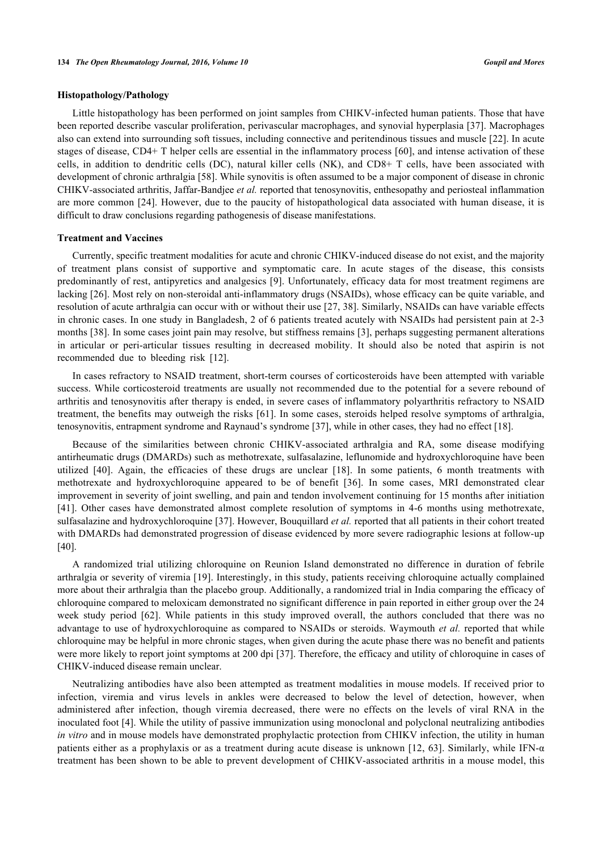#### **Histopathology/Pathology**

Little histopathology has been performed on joint samples from CHIKV-infected human patients. Those that have been reported describe vascular proliferation, perivascular macrophages, and synovial hyperplasia [[37](#page-9-8)]. Macrophages also can extend into surrounding soft tissues, including connective and peritendinous tissues and muscle [\[22](#page-8-13)]. In acute stages of disease, CD4+ T helper cells are essential in the inflammatory process [[60](#page-10-13)], and intense activation of these cells, in addition to dendritic cells (DC), natural killer cells (NK), and CD8+ T cells, have been associated with development of chronic arthralgia [\[58](#page-10-11)]. While synovitis is often assumed to be a major component of disease in chronic CHIKV-associated arthritis, Jaffar-Bandjee *et al.* reported that tenosynovitis, enthesopathy and periosteal inflammation are more common [[24\]](#page-8-15). However, due to the paucity of histopathological data associated with human disease, it is difficult to draw conclusions regarding pathogenesis of disease manifestations.

#### **Treatment and Vaccines**

Currently, specific treatment modalities for acute and chronic CHIKV-induced disease do not exist, and the majority of treatment plans consist of supportive and symptomatic care. In acute stages of the disease, this consists predominantly of rest, antipyretics and analgesics [\[9\]](#page-8-5). Unfortunately, efficacy data for most treatment regimens are lacking [[26\]](#page-8-16). Most rely on non-steroidal anti-inflammatory drugs (NSAIDs), whose efficacy can be quite variable, and resolution of acute arthralgia can occur with or without their use [[27](#page-9-0), [38](#page-9-9)]. Similarly, NSAIDs can have variable effects in chronic cases. In one study in Bangladesh, 2 of 6 patients treated acutely with NSAIDs had persistent pain at 2-3 months [[38\]](#page-9-9). In some cases joint pain may resolve, but stiffness remains [[3](#page-7-2)], perhaps suggesting permanent alterations in articular or peri-articular tissues resulting in decreased mobility. It should also be noted that aspirin is not recommended due to bleeding risk[[12\]](#page-8-18).

In cases refractory to NSAID treatment, short-term courses of corticosteroids have been attempted with variable success. While corticosteroid treatments are usually not recommended due to the potential for a severe rebound of arthritis and tenosynovitis after therapy is ended, in severe cases of inflammatory polyarthritis refractory to NSAID treatment, the benefits may outweigh the risks [[61](#page-10-14)]. In some cases, steroids helped resolve symptoms of arthralgia, tenosynovitis, entrapment syndrome and Raynaud's syndrome [[37\]](#page-9-8), while in other cases, they had no effect [\[18](#page-8-9)].

Because of the similarities between chronic CHIKV-associated arthralgia and RA, some disease modifying antirheumatic drugs (DMARDs) such as methotrexate, sulfasalazine, leflunomide and hydroxychloroquine have been utilized[[40\]](#page-9-11). Again, the efficacies of these drugs are unclear[[18\]](#page-8-9). In some patients, 6 month treatments with methotrexate and hydroxychloroquine appeared to be of benefit [\[36\]](#page-9-7). In some cases, MRI demonstrated clear improvement in severity of joint swelling, and pain and tendon involvement continuing for 15 months after initiation [\[41](#page-9-12)]. Other cases have demonstrated almost complete resolution of symptoms in 4-6 months using methotrexate, sulfasalazine and hydroxychloroquine [\[37](#page-9-8)]. However, Bouquillard *et al.* reported that all patients in their cohort treated with DMARDs had demonstrated progression of disease evidenced by more severe radiographic lesions at follow-up [\[40](#page-9-11)].

A randomized trial utilizing chloroquine on Reunion Island demonstrated no difference in duration of febrile arthralgia or severity of viremia [[19](#page-8-10)]. Interestingly, in this study, patients receiving chloroquine actually complained more about their arthralgia than the placebo group. Additionally, a randomized trial in India comparing the efficacy of chloroquine compared to meloxicam demonstrated no significant difference in pain reported in either group over the 24 week study period[[62](#page-10-15)]. While patients in this study improved overall, the authors concluded that there was no advantage to use of hydroxychloroquine as compared to NSAIDs or steroids. Waymouth *et al.* reported that while chloroquine may be helpful in more chronic stages, when given during the acute phase there was no benefit and patients were more likely to report joint symptoms at 200 dpi [[37\]](#page-9-8). Therefore, the efficacy and utility of chloroquine in cases of CHIKV-induced disease remain unclear.

Neutralizing antibodies have also been attempted as treatment modalities in mouse models. If received prior to infection, viremia and virus levels in ankles were decreased to below the level of detection, however, when administered after infection, though viremia decreased, there were no effects on the levels of viral RNA in the inoculated foot [[4\]](#page-8-0). While the utility of passive immunization using monoclonal and polyclonal neutralizing antibodies *in vitro* and in mouse models have demonstrated prophylactic protection from CHIKV infection, the utility in human patients either as a prophylaxis or as a treatment during acute disease is unknown [\[12,](#page-8-18) [63\]](#page-10-16). Similarly, while IFN-α treatment has been shown to be able to prevent development of CHIKV-associated arthritis in a mouse model, this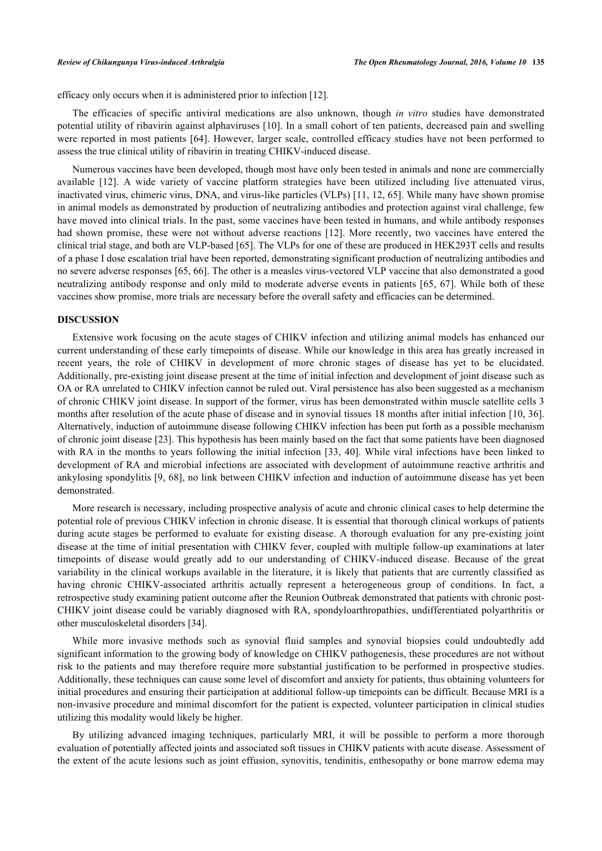efficacy only occurs when it is administered prior to infection [\[12](#page-8-18)].

The efficacies of specific antiviral medications are also unknown, though *in vitro* studies have demonstrated potential utility of ribavirin against alphaviruses [[10\]](#page-8-6). In a small cohort of ten patients, decreased pain and swelling were reported in most patients [\[64\]](#page-10-17). However, larger scale, controlled efficacy studies have not been performed to assess the true clinical utility of ribavirin in treating CHIKV-induced disease.

Numerous vaccines have been developed, though most have only been tested in animals and none are commercially available[[12\]](#page-8-18). A wide variety of vaccine platform strategies have been utilized including live attenuated virus, inactivated virus, chimeric virus, DNA, and virus-like particles (VLPs) [[11,](#page-8-19) [12](#page-8-18), [65\]](#page-10-18). While many have shown promise in animal models as demonstrated by production of neutralizing antibodies and protection against viral challenge, few have moved into clinical trials. In the past, some vaccines have been tested in humans, and while antibody responses had shown promise, these were not without adverse reactions [\[12](#page-8-18)]. More recently, two vaccines have entered the clinical trial stage, and both are VLP-based [[65\]](#page-10-18). The VLPs for one of these are produced in HEK293T cells and results of a phase I dose escalation trial have been reported, demonstrating significant production of neutralizing antibodies and no severe adverse responses [\[65](#page-10-18), [66](#page-10-19)]. The other is a measles virus-vectored VLP vaccine that also demonstrated a good neutralizing antibody response and only mild to moderate adverse events in patients [[65](#page-10-18), [67\]](#page-10-20). While both of these vaccines show promise, more trials are necessary before the overall safety and efficacies can be determined.

#### **DISCUSSION**

Extensive work focusing on the acute stages of CHIKV infection and utilizing animal models has enhanced our current understanding of these early timepoints of disease. While our knowledge in this area has greatly increased in recent years, the role of CHIKV in development of more chronic stages of disease has yet to be elucidated. Additionally, pre-existing joint disease present at the time of initial infection and development of joint disease such as OA or RA unrelated to CHIKV infection cannot be ruled out. Viral persistence has also been suggested as a mechanism of chronic CHIKV joint disease. In support of the former, virus has been demonstrated within muscle satellite cells 3 months after resolution of the acute phase of disease and in synovial tissues 18 months after initial infection [[10](#page-8-6), [36\]](#page-9-7). Alternatively, induction of autoimmune disease following CHIKV infection has been put forth as a possible mechanism of chronic joint disease [\[23](#page-8-14)]. This hypothesis has been mainly based on the fact that some patients have been diagnosed with RA in the months to years following the initial infection [[33,](#page-9-6) [40](#page-9-11)]. While viral infections have been linked to development of RA and microbial infections are associated with development of autoimmune reactive arthritis and ankylosing spondylitis [[9](#page-8-5), [68\]](#page-11-0), no link between CHIKV infection and induction of autoimmune disease has yet been demonstrated.

More research is necessary, including prospective analysis of acute and chronic clinical cases to help determine the potential role of previous CHIKV infection in chronic disease. It is essential that thorough clinical workups of patients during acute stages be performed to evaluate for existing disease. A thorough evaluation for any pre-existing joint disease at the time of initial presentation with CHIKV fever, coupled with multiple follow-up examinations at later timepoints of disease would greatly add to our understanding of CHIKV-induced disease. Because of the great variability in the clinical workups available in the literature, it is likely that patients that are currently classified as having chronic CHIKV-associated arthritis actually represent a heterogeneous group of conditions. In fact, a retrospective study examining patient outcome after the Reunion Outbreak demonstrated that patients with chronic post-CHIKV joint disease could be variably diagnosed with RA, spondyloarthropathies, undifferentiated polyarthritis or other musculoskeletal disorders [\[34](#page-9-19)].

While more invasive methods such as synovial fluid samples and synovial biopsies could undoubtedly add significant information to the growing body of knowledge on CHIKV pathogenesis, these procedures are not without risk to the patients and may therefore require more substantial justification to be performed in prospective studies. Additionally, these techniques can cause some level of discomfort and anxiety for patients, thus obtaining volunteers for initial procedures and ensuring their participation at additional follow-up timepoints can be difficult. Because MRI is a non-invasive procedure and minimal discomfort for the patient is expected, volunteer participation in clinical studies utilizing this modality would likely be higher.

By utilizing advanced imaging techniques, particularly MRI, it will be possible to perform a more thorough evaluation of potentially affected joints and associated soft tissues in CHIKV patients with acute disease. Assessment of the extent of the acute lesions such as joint effusion, synovitis, tendinitis, enthesopathy or bone marrow edema may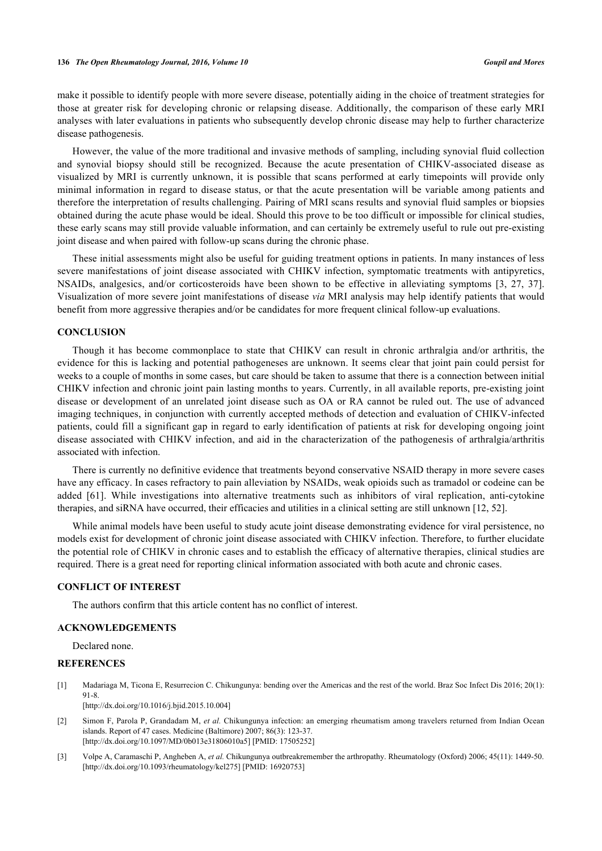make it possible to identify people with more severe disease, potentially aiding in the choice of treatment strategies for those at greater risk for developing chronic or relapsing disease. Additionally, the comparison of these early MRI analyses with later evaluations in patients who subsequently develop chronic disease may help to further characterize disease pathogenesis.

However, the value of the more traditional and invasive methods of sampling, including synovial fluid collection and synovial biopsy should still be recognized. Because the acute presentation of CHIKV-associated disease as visualized by MRI is currently unknown, it is possible that scans performed at early timepoints will provide only minimal information in regard to disease status, or that the acute presentation will be variable among patients and therefore the interpretation of results challenging. Pairing of MRI scans results and synovial fluid samples or biopsies obtained during the acute phase would be ideal. Should this prove to be too difficult or impossible for clinical studies, these early scans may still provide valuable information, and can certainly be extremely useful to rule out pre-existing joint disease and when paired with follow-up scans during the chronic phase.

These initial assessments might also be useful for guiding treatment options in patients. In many instances of less severe manifestations of joint disease associated with CHIKV infection, symptomatic treatments with antipyretics, NSAIDs, analgesics, and/or corticosteroids have been shown to be effective in alleviating symptoms[[3,](#page-7-2) [27,](#page-9-0) [37\]](#page-9-8). Visualization of more severe joint manifestations of disease *via* MRI analysis may help identify patients that would benefit from more aggressive therapies and/or be candidates for more frequent clinical follow-up evaluations.

# **CONCLUSION**

Though it has become commonplace to state that CHIKV can result in chronic arthralgia and/or arthritis, the evidence for this is lacking and potential pathogeneses are unknown. It seems clear that joint pain could persist for weeks to a couple of months in some cases, but care should be taken to assume that there is a connection between initial CHIKV infection and chronic joint pain lasting months to years. Currently, in all available reports, pre-existing joint disease or development of an unrelated joint disease such as OA or RA cannot be ruled out. The use of advanced imaging techniques, in conjunction with currently accepted methods of detection and evaluation of CHIKV-infected patients, could fill a significant gap in regard to early identification of patients at risk for developing ongoing joint disease associated with CHIKV infection, and aid in the characterization of the pathogenesis of arthralgia/arthritis associated with infection.

There is currently no definitive evidence that treatments beyond conservative NSAID therapy in more severe cases have any efficacy. In cases refractory to pain alleviation by NSAIDs, weak opioids such as tramadol or codeine can be added[[61](#page-10-14)]. While investigations into alternative treatments such as inhibitors of viral replication, anti-cytokine therapies, and siRNA have occurred, their efficacies and utilities in a clinical setting are still unknown [\[12](#page-8-18), [52](#page-10-5)].

While animal models have been useful to study acute joint disease demonstrating evidence for viral persistence, no models exist for development of chronic joint disease associated with CHIKV infection. Therefore, to further elucidate the potential role of CHIKV in chronic cases and to establish the efficacy of alternative therapies, clinical studies are required. There is a great need for reporting clinical information associated with both acute and chronic cases.

#### **CONFLICT OF INTEREST**

The authors confirm that this article content has no conflict of interest.

# **ACKNOWLEDGEMENTS**

Declared none.

#### **REFERENCES**

<span id="page-7-0"></span>[1] Madariaga M, Ticona E, Resurrecion C. Chikungunya: bending over the Americas and the rest of the world. Braz Soc Infect Dis 2016; 20(1): 91-8. [\[http://dx.doi.org/10.1016/j.bjid.2015.10.004](http://dx.doi.org/10.1016/j.bjid.2015.10.004)]

- <span id="page-7-1"></span>[2] Simon F, Parola P, Grandadam M, *et al.* Chikungunya infection: an emerging rheumatism among travelers returned from Indian Ocean islands. Report of 47 cases. Medicine (Baltimore) 2007; 86(3): 123-37. [\[http://dx.doi.org/10.1097/MD/0b013e31806010a5](http://dx.doi.org/10.1097/MD/0b013e31806010a5)] [PMID: [17505252\]](http://www.ncbi.nlm.nih.gov/pubmed/17505252)
- <span id="page-7-2"></span>[3] Volpe A, Caramaschi P, Angheben A, *et al.* Chikungunya outbreakremember the arthropathy. Rheumatology (Oxford) 2006; 45(11): 1449-50. [\[http://dx.doi.org/10.1093/rheumatology/kel275](http://dx.doi.org/10.1093/rheumatology/kel275)] [PMID: [16920753\]](http://www.ncbi.nlm.nih.gov/pubmed/16920753)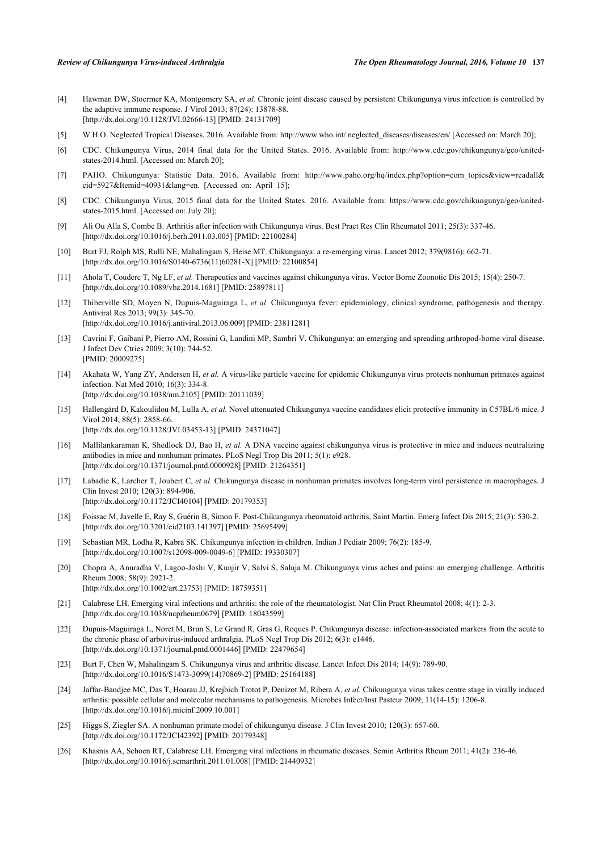- <span id="page-8-0"></span>[4] Hawman DW, Stoermer KA, Montgomery SA, *et al.* Chronic joint disease caused by persistent Chikungunya virus infection is controlled by the adaptive immune response. J Virol 2013; 87(24): 13878-88. [\[http://dx.doi.org/10.1128/JVI.02666-13](http://dx.doi.org/10.1128/JVI.02666-13)] [PMID: [24131709\]](http://www.ncbi.nlm.nih.gov/pubmed/24131709)
- <span id="page-8-1"></span>[5] W.H.O. Neglected Tropical Diseases. 2016. Available from: [http://www.who.int/ neglected\\_diseases/diseases/en/](http://www.who.int/neglected_diseases/diseases/en/) [Accessed on: March 20];
- <span id="page-8-2"></span>[6] CDC. Chikungunya Virus, 2014 final data for the United States. 2016. Available from: [http://www.cdc.gov/chikungunya/geo/united](http://www.cdc.gov/chikungunya/geo/united-states-2014.html)[states-2014.html.](http://www.cdc.gov/chikungunya/geo/united-states-2014.html) [Accessed on: March 20];
- <span id="page-8-3"></span>[7] PAHO. Chikungunya: Statistic Data. 2016. Available from: [http://www.paho.org/hq/index.php?option=com\\_topics&view=readall&](http://www.paho.org/hq/index.php?option=com_topics&view=readall&cid=5927&Itemid=40931&lang=en.) [cid=5927&Itemid=40931&lang=en.](http://www.paho.org/hq/index.php?option=com_topics&view=readall&cid=5927&Itemid=40931&lang=en.) [Accessed on: April 15];
- <span id="page-8-4"></span>[8] CDC. Chikungunya Virus, 2015 final data for the United States. 2016. Available from: [https://www.cdc.gov/chikungunya/geo/united](https://www.cdc.gov/chikungunya/geo/united-states-2015.html)[states-2015.html.](https://www.cdc.gov/chikungunya/geo/united-states-2015.html) [Accessed on: July 20];
- <span id="page-8-5"></span>[9] Ali Ou Alla S, Combe B. Arthritis after infection with Chikungunya virus. Best Pract Res Clin Rheumatol 2011; 25(3): 337-46. [\[http://dx.doi.org/10.1016/j.berh.2011.03.005](http://dx.doi.org/10.1016/j.berh.2011.03.005)] [PMID: [22100284\]](http://www.ncbi.nlm.nih.gov/pubmed/22100284)
- <span id="page-8-6"></span>[10] Burt FJ, Rolph MS, Rulli NE, Mahalingam S, Heise MT. Chikungunya: a re-emerging virus. Lancet 2012; 379(9816): 662-71. [\[http://dx.doi.org/10.1016/S0140-6736\(11\)60281-X\]](http://dx.doi.org/10.1016/S0140-6736(11)60281-X) [PMID: [22100854](http://www.ncbi.nlm.nih.gov/pubmed/22100854)]
- <span id="page-8-19"></span>[11] Ahola T, Couderc T, Ng LF, *et al.* Therapeutics and vaccines against chikungunya virus. Vector Borne Zoonotic Dis 2015; 15(4): 250-7. [\[http://dx.doi.org/10.1089/vbz.2014.1681](http://dx.doi.org/10.1089/vbz.2014.1681)] [PMID: [25897811\]](http://www.ncbi.nlm.nih.gov/pubmed/25897811)
- <span id="page-8-18"></span>[12] Thiberville SD, Moyen N, Dupuis-Maguiraga L, *et al.* Chikungunya fever: epidemiology, clinical syndrome, pathogenesis and therapy. Antiviral Res 2013; 99(3): 345-70. [\[http://dx.doi.org/10.1016/j.antiviral.2013.06.009\]](http://dx.doi.org/10.1016/j.antiviral.2013.06.009) [PMID: [23811281](http://www.ncbi.nlm.nih.gov/pubmed/23811281)]
- [13] Cavrini F, Gaibani P, Pierro AM, Rossini G, Landini MP, Sambri V. Chikungunya: an emerging and spreading arthropod-borne viral disease. J Infect Dev Ctries 2009; 3(10): 744-52. [PMID: [20009275\]](http://www.ncbi.nlm.nih.gov/pubmed/20009275)
- [14] Akahata W, Yang ZY, Andersen H, *et al.* A virus-like particle vaccine for epidemic Chikungunya virus protects nonhuman primates against infection. Nat Med 2010; 16(3): 334-8. [\[http://dx.doi.org/10.1038/nm.2105](http://dx.doi.org/10.1038/nm.2105)] [PMID: [20111039\]](http://www.ncbi.nlm.nih.gov/pubmed/20111039)
- [15] Hallengärd D, Kakoulidou M, Lulla A, *et al.* Novel attenuated Chikungunya vaccine candidates elicit protective immunity in C57BL/6 mice. J Virol 2014; 88(5): 2858-66. [\[http://dx.doi.org/10.1128/JVI.03453-13](http://dx.doi.org/10.1128/JVI.03453-13)] [PMID: [24371047\]](http://www.ncbi.nlm.nih.gov/pubmed/24371047)
- <span id="page-8-7"></span>[16] Mallilankaraman K, Shedlock DJ, Bao H, *et al.* A DNA vaccine against chikungunya virus is protective in mice and induces neutralizing antibodies in mice and nonhuman primates. PLoS Negl Trop Dis 2011; 5(1): e928. [\[http://dx.doi.org/10.1371/journal.pntd.0000928\]](http://dx.doi.org/10.1371/journal.pntd.0000928) [PMID: [21264351](http://www.ncbi.nlm.nih.gov/pubmed/21264351)]
- <span id="page-8-8"></span>[17] Labadie K, Larcher T, Joubert C, *et al.* Chikungunya disease in nonhuman primates involves long-term viral persistence in macrophages. J Clin Invest 2010; 120(3): 894-906. [\[http://dx.doi.org/10.1172/JCI40104\]](http://dx.doi.org/10.1172/JCI40104) [PMID: [20179353](http://www.ncbi.nlm.nih.gov/pubmed/20179353)]
- <span id="page-8-9"></span>[18] Foissac M, Javelle E, Ray S, Guérin B, Simon F. Post-Chikungunya rheumatoid arthritis, Saint Martin. Emerg Infect Dis 2015; 21(3): 530-2. [\[http://dx.doi.org/10.3201/eid2103.141397\]](http://dx.doi.org/10.3201/eid2103.141397) [PMID: [25695499](http://www.ncbi.nlm.nih.gov/pubmed/25695499)]
- <span id="page-8-10"></span>[19] Sebastian MR, Lodha R, Kabra SK. Chikungunya infection in children. Indian J Pediatr 2009; 76(2): 185-9. [\[http://dx.doi.org/10.1007/s12098-009-0049-6\]](http://dx.doi.org/10.1007/s12098-009-0049-6) [PMID: [19330307](http://www.ncbi.nlm.nih.gov/pubmed/19330307)]
- <span id="page-8-11"></span>[20] Chopra A, Anuradha V, Lagoo-Joshi V, Kunjir V, Salvi S, Saluja M. Chikungunya virus aches and pains: an emerging challenge. Arthritis Rheum 2008; 58(9): 2921-2. [\[http://dx.doi.org/10.1002/art.23753](http://dx.doi.org/10.1002/art.23753)] [PMID: [18759351\]](http://www.ncbi.nlm.nih.gov/pubmed/18759351)
- <span id="page-8-12"></span>[21] Calabrese LH. Emerging viral infections and arthritis: the role of the rheumatologist. Nat Clin Pract Rheumatol 2008; 4(1): 2-3. [\[http://dx.doi.org/10.1038/ncprheum0679\]](http://dx.doi.org/10.1038/ncprheum0679) [PMID: [18043599](http://www.ncbi.nlm.nih.gov/pubmed/18043599)]
- <span id="page-8-13"></span>[22] Dupuis-Maguiraga L, Noret M, Brun S, Le Grand R, Gras G, Roques P. Chikungunya disease: infection-associated markers from the acute to the chronic phase of arbovirus-induced arthralgia. PLoS Negl Trop Dis 2012; 6(3): e1446. [\[http://dx.doi.org/10.1371/journal.pntd.0001446\]](http://dx.doi.org/10.1371/journal.pntd.0001446) [PMID: [22479654](http://www.ncbi.nlm.nih.gov/pubmed/22479654)]
- <span id="page-8-14"></span>[23] Burt F, Chen W, Mahalingam S. Chikungunya virus and arthritic disease. Lancet Infect Dis 2014; 14(9): 789-90. [\[http://dx.doi.org/10.1016/S1473-3099\(14\)70869-2\]](http://dx.doi.org/10.1016/S1473-3099(14)70869-2) [PMID: [25164188](http://www.ncbi.nlm.nih.gov/pubmed/25164188)]
- <span id="page-8-15"></span>[24] Jaffar-Bandjee MC, Das T, Hoarau JJ, Krejbich Trotot P, Denizot M, Ribera A, *et al.* Chikungunya virus takes centre stage in virally induced arthritis: possible cellular and molecular mechanisms to pathogenesis. Microbes Infect/Inst Pasteur 2009; 11(14-15): 1206-8. [\[http://dx.doi.org/10.1016/j.micinf.2009.10.001\]](http://dx.doi.org/10.1016/j.micinf.2009.10.001)
- <span id="page-8-17"></span>[25] Higgs S, Ziegler SA. A nonhuman primate model of chikungunya disease. J Clin Invest 2010; 120(3): 657-60. [\[http://dx.doi.org/10.1172/JCI42392\]](http://dx.doi.org/10.1172/JCI42392) [PMID: [20179348](http://www.ncbi.nlm.nih.gov/pubmed/20179348)]
- <span id="page-8-16"></span>[26] Khasnis AA, Schoen RT, Calabrese LH. Emerging viral infections in rheumatic diseases. Semin Arthritis Rheum 2011; 41(2): 236-46. [\[http://dx.doi.org/10.1016/j.semarthrit.2011.01.008](http://dx.doi.org/10.1016/j.semarthrit.2011.01.008)] [PMID: [21440932](http://www.ncbi.nlm.nih.gov/pubmed/21440932)]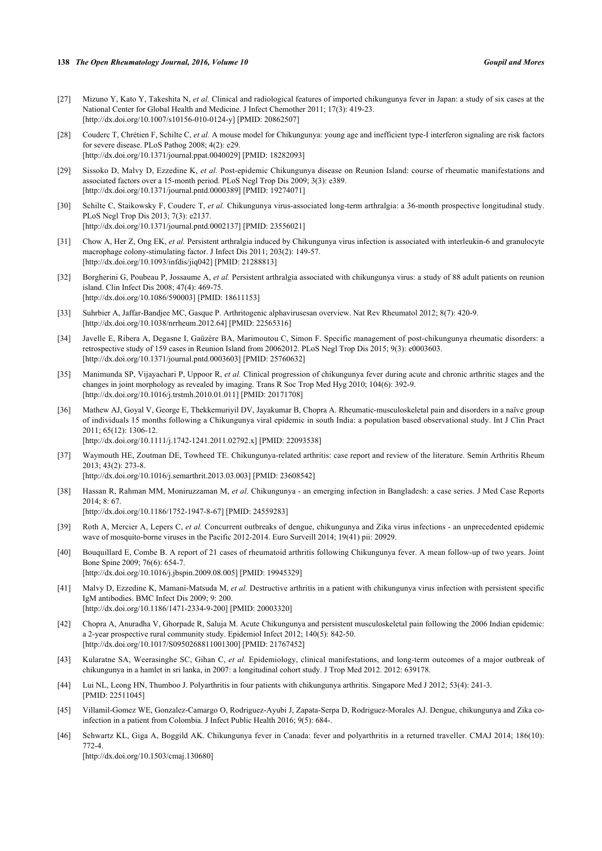- <span id="page-9-0"></span>[27] Mizuno Y, Kato Y, Takeshita N, *et al.* Clinical and radiological features of imported chikungunya fever in Japan: a study of six cases at the National Center for Global Health and Medicine. J Infect Chemother 2011; 17(3): 419-23. [\[http://dx.doi.org/10.1007/s10156-010-0124-y\]](http://dx.doi.org/10.1007/s10156-010-0124-y) [PMID: [20862507](http://www.ncbi.nlm.nih.gov/pubmed/20862507)]
- <span id="page-9-1"></span>[28] Couderc T, Chrétien F, Schilte C, *et al.* A mouse model for Chikungunya: young age and inefficient type-I interferon signaling are risk factors for severe disease. PLoS Pathog 2008; 4(2): e29. [\[http://dx.doi.org/10.1371/journal.ppat.0040029](http://dx.doi.org/10.1371/journal.ppat.0040029)] [PMID: [18282093\]](http://www.ncbi.nlm.nih.gov/pubmed/18282093)
- <span id="page-9-2"></span>[29] Sissoko D, Malvy D, Ezzedine K, *et al.* Post-epidemic Chikungunya disease on Reunion Island: course of rheumatic manifestations and associated factors over a 15-month period. PLoS Negl Trop Dis 2009; 3(3): e389. [\[http://dx.doi.org/10.1371/journal.pntd.0000389\]](http://dx.doi.org/10.1371/journal.pntd.0000389) [PMID: [19274071](http://www.ncbi.nlm.nih.gov/pubmed/19274071)]
- <span id="page-9-3"></span>[30] Schilte C, Staikowsky F, Couderc T, *et al.* Chikungunya virus-associated long-term arthralgia: a 36-month prospective longitudinal study. PLoS Negl Trop Dis 2013; 7(3): e2137. [\[http://dx.doi.org/10.1371/journal.pntd.0002137\]](http://dx.doi.org/10.1371/journal.pntd.0002137) [PMID: [23556021](http://www.ncbi.nlm.nih.gov/pubmed/23556021)]
- <span id="page-9-4"></span>[31] Chow A, Her Z, Ong EK, *et al.* Persistent arthralgia induced by Chikungunya virus infection is associated with interleukin-6 and granulocyte macrophage colony-stimulating factor. J Infect Dis 2011; 203(2): 149-57. [\[http://dx.doi.org/10.1093/infdis/jiq042\]](http://dx.doi.org/10.1093/infdis/jiq042) [PMID: [21288813](http://www.ncbi.nlm.nih.gov/pubmed/21288813)]
- <span id="page-9-5"></span>[32] Borgherini G, Poubeau P, Jossaume A, *et al.* Persistent arthralgia associated with chikungunya virus: a study of 88 adult patients on reunion island. Clin Infect Dis 2008; 47(4): 469-75. [\[http://dx.doi.org/10.1086/590003\]](http://dx.doi.org/10.1086/590003) [PMID: [18611153](http://www.ncbi.nlm.nih.gov/pubmed/18611153)]
- <span id="page-9-6"></span>[33] Suhrbier A, Jaffar-Bandjee MC, Gasque P. Arthritogenic alphavirusesan overview. Nat Rev Rheumatol 2012; 8(7): 420-9. [\[http://dx.doi.org/10.1038/nrrheum.2012.64\]](http://dx.doi.org/10.1038/nrrheum.2012.64) [PMID: [22565316](http://www.ncbi.nlm.nih.gov/pubmed/22565316)]
- <span id="page-9-19"></span>[34] Javelle E, Ribera A, Degasne I, Gaüzère BA, Marimoutou C, Simon F. Specific management of post-chikungunya rheumatic disorders: a retrospective study of 159 cases in Reunion Island from 20062012. PLoS Negl Trop Dis 2015; 9(3): e0003603. [\[http://dx.doi.org/10.1371/journal.pntd.0003603\]](http://dx.doi.org/10.1371/journal.pntd.0003603) [PMID: [25760632](http://www.ncbi.nlm.nih.gov/pubmed/25760632)]
- <span id="page-9-16"></span>[35] Manimunda SP, Vijayachari P, Uppoor R, *et al.* Clinical progression of chikungunya fever during acute and chronic arthritic stages and the changes in joint morphology as revealed by imaging. Trans R Soc Trop Med Hyg 2010; 104(6): 392-9. [\[http://dx.doi.org/10.1016/j.trstmh.2010.01.011](http://dx.doi.org/10.1016/j.trstmh.2010.01.011)] [PMID: [20171708](http://www.ncbi.nlm.nih.gov/pubmed/20171708)]
- <span id="page-9-7"></span>[36] Mathew AJ, Goyal V, George E, Thekkemuriyil DV, Jayakumar B, Chopra A. Rheumatic-musculoskeletal pain and disorders in a naïve group of individuals 15 months following a Chikungunya viral epidemic in south India: a population based observational study. Int J Clin Pract 2011; 65(12): 1306-12. [\[http://dx.doi.org/10.1111/j.1742-1241.2011.02792.x\]](http://dx.doi.org/10.1111/j.1742-1241.2011.02792.x) [PMID: [22093538](http://www.ncbi.nlm.nih.gov/pubmed/22093538)]
- <span id="page-9-8"></span>[37] Waymouth HE, Zoutman DE, Towheed TE. Chikungunya-related arthritis: case report and review of the literature. Semin Arthritis Rheum 2013; 43(2): 273-8. [\[http://dx.doi.org/10.1016/j.semarthrit.2013.03.003](http://dx.doi.org/10.1016/j.semarthrit.2013.03.003)] [PMID: [23608542](http://www.ncbi.nlm.nih.gov/pubmed/23608542)]
- <span id="page-9-9"></span>[38] Hassan R, Rahman MM, Moniruzzaman M, *et al.* Chikungunya - an emerging infection in Bangladesh: a case series. J Med Case Reports 2014; 8: 67. [\[http://dx.doi.org/10.1186/1752-1947-8-67\]](http://dx.doi.org/10.1186/1752-1947-8-67) [PMID: [24559283](http://www.ncbi.nlm.nih.gov/pubmed/24559283)]
- <span id="page-9-10"></span>[39] Roth A, Mercier A, Lepers C, *et al.* Concurrent outbreaks of dengue, chikungunya and Zika virus infections - an unprecedented epidemic wave of mosquito-borne viruses in the Pacific 2012-2014. Euro Surveill 2014; 19(41) pii: 20929.
- <span id="page-9-11"></span>[40] Bouquillard E, Combe B. A report of 21 cases of rheumatoid arthritis following Chikungunya fever. A mean follow-up of two years. Joint Bone Spine 2009; 76(6): 654-7.
	- [\[http://dx.doi.org/10.1016/j.jbspin.2009.08.005\]](http://dx.doi.org/10.1016/j.jbspin.2009.08.005) [PMID: [19945329](http://www.ncbi.nlm.nih.gov/pubmed/19945329)]
- <span id="page-9-12"></span>[41] Malvy D, Ezzedine K, Mamani-Matsuda M, *et al.* Destructive arthritis in a patient with chikungunya virus infection with persistent specific IgM antibodies. BMC Infect Dis 2009; 9: 200. [\[http://dx.doi.org/10.1186/1471-2334-9-200\]](http://dx.doi.org/10.1186/1471-2334-9-200) [PMID: [20003320](http://www.ncbi.nlm.nih.gov/pubmed/20003320)]
- <span id="page-9-13"></span>[42] Chopra A, Anuradha V, Ghorpade R, Saluja M. Acute Chikungunya and persistent musculoskeletal pain following the 2006 Indian epidemic: a 2-year prospective rural community study. Epidemiol Infect 2012; 140(5): 842-50. [\[http://dx.doi.org/10.1017/S0950268811001300](http://dx.doi.org/10.1017/S0950268811001300)] [PMID: [21767452\]](http://www.ncbi.nlm.nih.gov/pubmed/21767452)
- <span id="page-9-14"></span>[43] Kularatne SA, Weerasinghe SC, Gihan C, *et al.* Epidemiology, clinical manifestations, and long-term outcomes of a major outbreak of chikungunya in a hamlet in sri lanka, in 2007: a longitudinal cohort study. J Trop Med 2012. 2012: 639178.
- <span id="page-9-15"></span>[44] Lui NL, Leong HN, Thumboo J. Polyarthritis in four patients with chikungunya arthritis. Singapore Med J 2012; 53(4): 241-3. [PMID: [22511045\]](http://www.ncbi.nlm.nih.gov/pubmed/22511045)
- <span id="page-9-17"></span>[45] Villamil-Gomez WE, Gonzalez-Camargo O, Rodriguez-Ayubi J, Zapata-Serpa D, Rodriguez-Morales AJ. Dengue, chikungunya and Zika coinfection in a patient from Colombia. J Infect Public Health 2016; 9(5): 684-.
- <span id="page-9-18"></span>[46] Schwartz KL, Giga A, Boggild AK. Chikungunya fever in Canada: fever and polyarthritis in a returned traveller. CMAJ 2014; 186(10): 772-4.

[\[http://dx.doi.org/10.1503/cmaj.130680](http://dx.doi.org/10.1503/cmaj.130680)]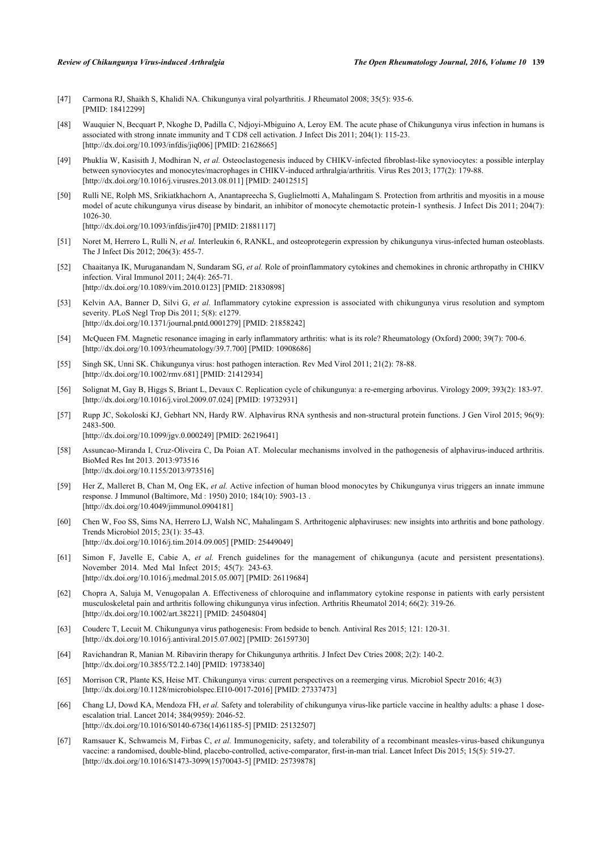- <span id="page-10-0"></span>[47] Carmona RJ, Shaikh S, Khalidi NA. Chikungunya viral polyarthritis. J Rheumatol 2008; 35(5): 935-6. [PMID: [18412299\]](http://www.ncbi.nlm.nih.gov/pubmed/18412299)
- <span id="page-10-1"></span>[48] Wauquier N, Becquart P, Nkoghe D, Padilla C, Ndjoyi-Mbiguino A, Leroy EM. The acute phase of Chikungunya virus infection in humans is associated with strong innate immunity and T CD8 cell activation. J Infect Dis 2011; 204(1): 115-23. [\[http://dx.doi.org/10.1093/infdis/jiq006\]](http://dx.doi.org/10.1093/infdis/jiq006) [PMID: [21628665](http://www.ncbi.nlm.nih.gov/pubmed/21628665)]
- <span id="page-10-2"></span>[49] Phuklia W, Kasisith J, Modhiran N, *et al.* Osteoclastogenesis induced by CHIKV-infected fibroblast-like synoviocytes: a possible interplay between synoviocytes and monocytes/macrophages in CHIKV-induced arthralgia/arthritis. Virus Res 2013; 177(2): 179-88. [\[http://dx.doi.org/10.1016/j.virusres.2013.08.011](http://dx.doi.org/10.1016/j.virusres.2013.08.011)] [PMID: [24012515\]](http://www.ncbi.nlm.nih.gov/pubmed/24012515)
- <span id="page-10-3"></span>[50] Rulli NE, Rolph MS, Srikiatkhachorn A, Anantapreecha S, Guglielmotti A, Mahalingam S. Protection from arthritis and myositis in a mouse model of acute chikungunya virus disease by bindarit, an inhibitor of monocyte chemotactic protein-1 synthesis. J Infect Dis 2011; 204(7): 1026-30. [\[http://dx.doi.org/10.1093/infdis/jir470](http://dx.doi.org/10.1093/infdis/jir470)] [PMID: [21881117\]](http://www.ncbi.nlm.nih.gov/pubmed/21881117)
- <span id="page-10-4"></span>[51] Noret M, Herrero L, Rulli N, *et al.* Interleukin 6, RANKL, and osteoprotegerin expression by chikungunya virus-infected human osteoblasts. The J Infect Dis 2012; 206(3): 455-7.
- <span id="page-10-5"></span>[52] Chaaitanya IK, Muruganandam N, Sundaram SG, *et al.* Role of proinflammatory cytokines and chemokines in chronic arthropathy in CHIKV infection. Viral Immunol 2011; 24(4): 265-71. [\[http://dx.doi.org/10.1089/vim.2010.0123](http://dx.doi.org/10.1089/vim.2010.0123)] [PMID: [21830898\]](http://www.ncbi.nlm.nih.gov/pubmed/21830898)
- <span id="page-10-6"></span>[53] Kelvin AA, Banner D, Silvi G, *et al.* Inflammatory cytokine expression is associated with chikungunya virus resolution and symptom severity. PLoS Negl Trop Dis 2011; 5(8): e1279. [\[http://dx.doi.org/10.1371/journal.pntd.0001279\]](http://dx.doi.org/10.1371/journal.pntd.0001279) [PMID: [21858242](http://www.ncbi.nlm.nih.gov/pubmed/21858242)]
- <span id="page-10-7"></span>[54] McQueen FM. Magnetic resonance imaging in early inflammatory arthritis: what is its role? Rheumatology (Oxford) 2000; 39(7): 700-6. [\[http://dx.doi.org/10.1093/rheumatology/39.7.700](http://dx.doi.org/10.1093/rheumatology/39.7.700)] [PMID: [10908686](http://www.ncbi.nlm.nih.gov/pubmed/10908686)]
- <span id="page-10-8"></span>[55] Singh SK, Unni SK. Chikungunya virus: host pathogen interaction. Rev Med Virol 2011; 21(2): 78-88. [\[http://dx.doi.org/10.1002/rmv.681\]](http://dx.doi.org/10.1002/rmv.681) [PMID: [21412934](http://www.ncbi.nlm.nih.gov/pubmed/21412934)]
- <span id="page-10-9"></span>[56] Solignat M, Gay B, Higgs S, Briant L, Devaux C. Replication cycle of chikungunya: a re-emerging arbovirus. Virology 2009; 393(2): 183-97. [\[http://dx.doi.org/10.1016/j.virol.2009.07.024](http://dx.doi.org/10.1016/j.virol.2009.07.024)] [PMID: [19732931\]](http://www.ncbi.nlm.nih.gov/pubmed/19732931)
- <span id="page-10-10"></span>[57] Rupp JC, Sokoloski KJ, Gebhart NN, Hardy RW. Alphavirus RNA synthesis and non-structural protein functions. J Gen Virol 2015; 96(9): 2483-500. [\[http://dx.doi.org/10.1099/jgv.0.000249](http://dx.doi.org/10.1099/jgv.0.000249)] [PMID: [26219641\]](http://www.ncbi.nlm.nih.gov/pubmed/26219641)
- <span id="page-10-11"></span>[58] Assuncao-Miranda I, Cruz-Oliveira C, Da Poian AT. Molecular mechanisms involved in the pathogenesis of alphavirus-induced arthritis. BioMed Res Int 2013. 2013:973516 [\[http://dx.doi.org/10.1155/2013/973516](http://dx.doi.org/10.1155/2013/973516)]
- <span id="page-10-12"></span>[59] Her Z, Malleret B, Chan M, Ong EK, *et al.* Active infection of human blood monocytes by Chikungunya virus triggers an innate immune response. J Immunol (Baltimore, Md : 1950) 2010; 184(10): 5903-13 . [\[http://dx.doi.org/10.4049/jimmunol.0904181\]](http://dx.doi.org/10.4049/jimmunol.0904181)
- <span id="page-10-13"></span>[60] Chen W, Foo SS, Sims NA, Herrero LJ, Walsh NC, Mahalingam S. Arthritogenic alphaviruses: new insights into arthritis and bone pathology. Trends Microbiol 2015; 23(1): 35-43. [\[http://dx.doi.org/10.1016/j.tim.2014.09.005\]](http://dx.doi.org/10.1016/j.tim.2014.09.005) [PMID: [25449049](http://www.ncbi.nlm.nih.gov/pubmed/25449049)]
- <span id="page-10-14"></span>[61] Simon F, Javelle E, Cabie A, *et al.* French guidelines for the management of chikungunya (acute and persistent presentations). November 2014. Med Mal Infect 2015; 45(7): 243-63. [\[http://dx.doi.org/10.1016/j.medmal.2015.05.007\]](http://dx.doi.org/10.1016/j.medmal.2015.05.007) [PMID: [26119684](http://www.ncbi.nlm.nih.gov/pubmed/26119684)]
- <span id="page-10-15"></span>[62] Chopra A, Saluja M, Venugopalan A. Effectiveness of chloroquine and inflammatory cytokine response in patients with early persistent musculoskeletal pain and arthritis following chikungunya virus infection. Arthritis Rheumatol 2014; 66(2): 319-26. [\[http://dx.doi.org/10.1002/art.38221](http://dx.doi.org/10.1002/art.38221)] [PMID: [24504804\]](http://www.ncbi.nlm.nih.gov/pubmed/24504804)
- <span id="page-10-16"></span>[63] Couderc T, Lecuit M. Chikungunya virus pathogenesis: From bedside to bench. Antiviral Res 2015; 121: 120-31. [\[http://dx.doi.org/10.1016/j.antiviral.2015.07.002\]](http://dx.doi.org/10.1016/j.antiviral.2015.07.002) [PMID: [26159730](http://www.ncbi.nlm.nih.gov/pubmed/26159730)]
- <span id="page-10-17"></span>[64] Ravichandran R, Manian M. Ribavirin therapy for Chikungunya arthritis. J Infect Dev Ctries 2008; 2(2): 140-2. [\[http://dx.doi.org/10.3855/T2.2.140\]](http://dx.doi.org/10.3855/T2.2.140) [PMID: [19738340](http://www.ncbi.nlm.nih.gov/pubmed/19738340)]
- <span id="page-10-18"></span>[65] Morrison CR, Plante KS, Heise MT. Chikungunya virus: current perspectives on a reemerging virus. Microbiol Spectr 2016; 4(3) [\[http://dx.doi.org/10.1128/microbiolspec.EI10-0017-2016](http://dx.doi.org/10.1128/microbiolspec.EI10-0017-2016)] [PMID: [27337473\]](http://www.ncbi.nlm.nih.gov/pubmed/27337473)
- <span id="page-10-19"></span>[66] Chang LJ, Dowd KA, Mendoza FH, *et al.* Safety and tolerability of chikungunya virus-like particle vaccine in healthy adults: a phase 1 doseescalation trial. Lancet 2014; 384(9959): 2046-52. [\[http://dx.doi.org/10.1016/S0140-6736\(14\)61185-5\]](http://dx.doi.org/10.1016/S0140-6736(14)61185-5) [PMID: [25132507](http://www.ncbi.nlm.nih.gov/pubmed/25132507)]
- <span id="page-10-20"></span>[67] Ramsauer K, Schwameis M, Firbas C, *et al.* Immunogenicity, safety, and tolerability of a recombinant measles-virus-based chikungunya vaccine: a randomised, double-blind, placebo-controlled, active-comparator, first-in-man trial. Lancet Infect Dis 2015; 15(5): 519-27. [\[http://dx.doi.org/10.1016/S1473-3099\(15\)70043-5\]](http://dx.doi.org/10.1016/S1473-3099(15)70043-5) [PMID: [25739878](http://www.ncbi.nlm.nih.gov/pubmed/25739878)]